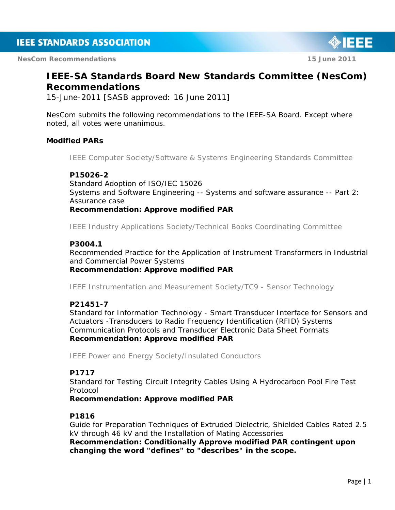**NesCom Recommendations 15 June 2011** 

# **IEEE-SA Standards Board New Standards Committee (NesCom) Recommendations**

15-June-2011 [SASB approved: 16 June 2011]

NesCom submits the following recommendations to the IEEE-SA Board. Except where noted, all votes were unanimous.

## **Modified PARs**

*IEEE Computer Society/Software & Systems Engineering Standards Committee* 

## **P15026-2**

Standard Adoption of ISO/IEC 15026 Systems and Software Engineering -- Systems and software assurance -- Part 2: Assurance case

*Recommendation: Approve modified PAR* 

*IEEE Industry Applications Society/Technical Books Coordinating Committee* 

## **P3004.1**

Recommended Practice for the Application of Instrument Transformers in Industrial and Commercial Power Systems

*Recommendation: Approve modified PAR* 

*IEEE Instrumentation and Measurement Society/TC9 - Sensor Technology* 

## **P21451-7**

Standard for Information Technology - Smart Transducer Interface for Sensors and Actuators -Transducers to Radio Frequency Identification (RFID) Systems Communication Protocols and Transducer Electronic Data Sheet Formats *Recommendation: Approve modified PAR* 

*IEEE Power and Energy Society/Insulated Conductors* 

## **P1717**

Standard for Testing Circuit Integrity Cables Using A Hydrocarbon Pool Fire Test Protocol

*Recommendation: Approve modified PAR* 

## **P1816**

Guide for Preparation Techniques of Extruded Dielectric, Shielded Cables Rated 2.5 kV through 46 kV and the Installation of Mating Accessories *Recommendation: Conditionally Approve modified PAR contingent upon changing the word "defines" to "describes" in the scope.* 

IEEE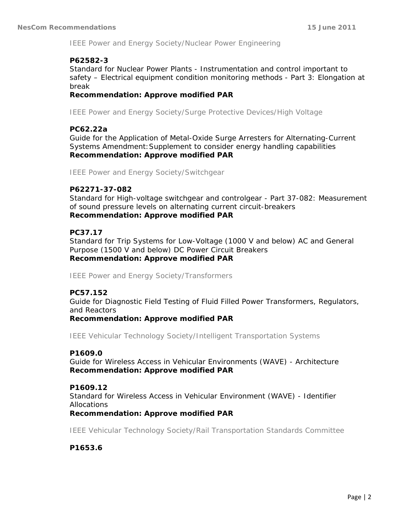*IEEE Power and Energy Society/Nuclear Power Engineering* 

## **P62582-3**

Standard for Nuclear Power Plants - Instrumentation and control important to safety – Electrical equipment condition monitoring methods - Part 3: Elongation at break

*Recommendation: Approve modified PAR* 

*IEEE Power and Energy Society/Surge Protective Devices/High Voltage* 

## **PC62.22a**

Guide for the Application of Metal-Oxide Surge Arresters for Alternating-Current Systems Amendment:Supplement to consider energy handling capabilities *Recommendation: Approve modified PAR* 

*IEEE Power and Energy Society/Switchgear* 

## **P62271-37-082**

Standard for High-voltage switchgear and controlgear - Part 37-082: Measurement of sound pressure levels on alternating current circuit-breakers *Recommendation: Approve modified PAR* 

## **PC37.17**

Standard for Trip Systems for Low-Voltage (1000 V and below) AC and General Purpose (1500 V and below) DC Power Circuit Breakers *Recommendation: Approve modified PAR* 

*IEEE Power and Energy Society/Transformers* 

## **PC57.152**

Guide for Diagnostic Field Testing of Fluid Filled Power Transformers, Regulators, and Reactors

*Recommendation: Approve modified PAR* 

*IEEE Vehicular Technology Society/Intelligent Transportation Systems* 

## **P1609.0**

Guide for Wireless Access in Vehicular Environments (WAVE) - Architecture *Recommendation: Approve modified PAR* 

## **P1609.12**

Standard for Wireless Access in Vehicular Environment (WAVE) - Identifier Allocations

## *Recommendation: Approve modified PAR*

*IEEE Vehicular Technology Society/Rail Transportation Standards Committee* 

**P1653.6**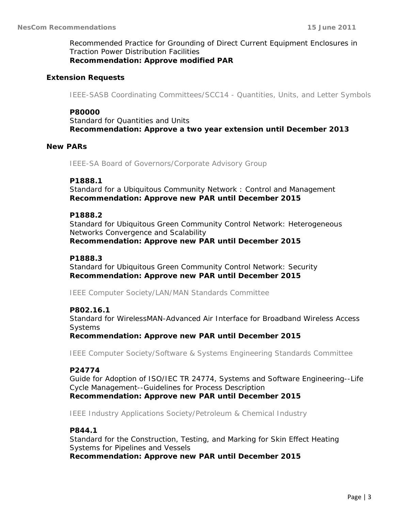Recommended Practice for Grounding of Direct Current Equipment Enclosures in Traction Power Distribution Facilities *Recommendation: Approve modified PAR* 

#### **Extension Requests**

*IEEE-SASB Coordinating Committees/SCC14 - Quantities, Units, and Letter Symbols* 

#### **P80000**

Standard for Quantities and Units *Recommendation: Approve a two year extension until December 2013* 

#### **New PARs**

*IEEE-SA Board of Governors/Corporate Advisory Group* 

#### **P1888.1**

Standard for a Ubiquitous Community Network : Control and Management *Recommendation: Approve new PAR until December 2015* 

#### **P1888.2**

Standard for Ubiquitous Green Community Control Network: Heterogeneous Networks Convergence and Scalability *Recommendation: Approve new PAR until December 2015* 

#### **P1888.3**

Standard for Ubiquitous Green Community Control Network: Security *Recommendation: Approve new PAR until December 2015* 

*IEEE Computer Society/LAN/MAN Standards Committee* 

#### **P802.16.1**

Standard for WirelessMAN-Advanced Air Interface for Broadband Wireless Access **Systems** 

*Recommendation: Approve new PAR until December 2015* 

*IEEE Computer Society/Software & Systems Engineering Standards Committee* 

#### **P24774**

Guide for Adoption of ISO/IEC TR 24774, Systems and Software Engineering--Life Cycle Management--Guidelines for Process Description *Recommendation: Approve new PAR until December 2015* 

*IEEE Industry Applications Society/Petroleum & Chemical Industry* 

#### **P844.1**

Standard for the Construction, Testing, and Marking for Skin Effect Heating Systems for Pipelines and Vessels *Recommendation: Approve new PAR until December 2015*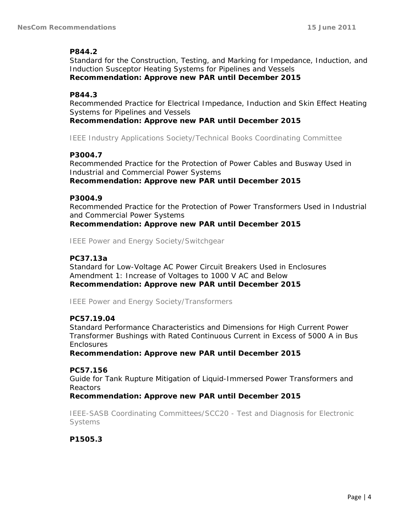## **P844.2**

Standard for the Construction, Testing, and Marking for Impedance, Induction, and Induction Susceptor Heating Systems for Pipelines and Vessels *Recommendation: Approve new PAR until December 2015* 

## **P844.3**

Recommended Practice for Electrical Impedance, Induction and Skin Effect Heating Systems for Pipelines and Vessels

*Recommendation: Approve new PAR until December 2015* 

*IEEE Industry Applications Society/Technical Books Coordinating Committee* 

## **P3004.7**

Recommended Practice for the Protection of Power Cables and Busway Used in Industrial and Commercial Power Systems *Recommendation: Approve new PAR until December 2015* 

## **P3004.9**

Recommended Practice for the Protection of Power Transformers Used in Industrial and Commercial Power Systems *Recommendation: Approve new PAR until December 2015* 

*IEEE Power and Energy Society/Switchgear* 

## **PC37.13a**

Standard for Low-Voltage AC Power Circuit Breakers Used in Enclosures Amendment 1: Increase of Voltages to 1000 V AC and Below *Recommendation: Approve new PAR until December 2015* 

*IEEE Power and Energy Society/Transformers* 

## **PC57.19.04**

Standard Performance Characteristics and Dimensions for High Current Power Transformer Bushings with Rated Continuous Current in Excess of 5000 A in Bus **Enclosures** 

*Recommendation: Approve new PAR until December 2015* 

## **PC57.156**

Guide for Tank Rupture Mitigation of Liquid-Immersed Power Transformers and Reactors

*Recommendation: Approve new PAR until December 2015* 

*IEEE-SASB Coordinating Committees/SCC20 - Test and Diagnosis for Electronic Systems* 

**P1505.3**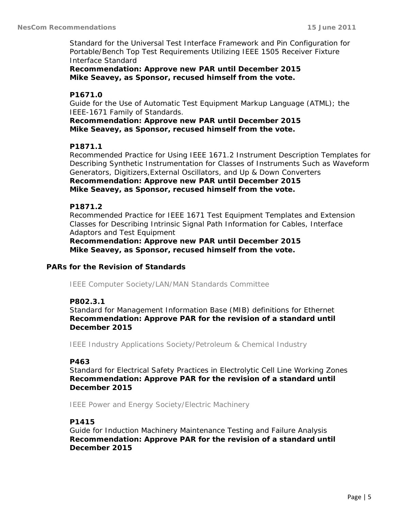Standard for the Universal Test Interface Framework and Pin Configuration for Portable/Bench Top Test Requirements Utilizing IEEE 1505 Receiver Fixture Interface Standard

*Recommendation: Approve new PAR until December 2015 Mike Seavey, as Sponsor, recused himself from the vote.* 

## **P1671.0**

Guide for the Use of Automatic Test Equipment Markup Language (ATML); the IEEE-1671 Family of Standards.

*Recommendation: Approve new PAR until December 2015 Mike Seavey, as Sponsor, recused himself from the vote.* 

## **P1871.1**

Recommended Practice for Using IEEE 1671.2 Instrument Description Templates for Describing Synthetic Instrumentation for Classes of Instruments Such as Waveform Generators, Digitizers,External Oscillators, and Up & Down Converters *Recommendation: Approve new PAR until December 2015 Mike Seavey, as Sponsor, recused himself from the vote.* 

## **P1871.2**

Recommended Practice for IEEE 1671 Test Equipment Templates and Extension Classes for Describing Intrinsic Signal Path Information for Cables, Interface Adaptors and Test Equipment

*Recommendation: Approve new PAR until December 2015 Mike Seavey, as Sponsor, recused himself from the vote.* 

## **PARs for the Revision of Standards**

*IEEE Computer Society/LAN/MAN Standards Committee* 

## **P802.3.1**

Standard for Management Information Base (MIB) definitions for Ethernet *Recommendation: Approve PAR for the revision of a standard until December 2015* 

*IEEE Industry Applications Society/Petroleum & Chemical Industry* 

## **P463**

Standard for Electrical Safety Practices in Electrolytic Cell Line Working Zones *Recommendation: Approve PAR for the revision of a standard until December 2015* 

*IEEE Power and Energy Society/Electric Machinery* 

#### **P1415**

Guide for Induction Machinery Maintenance Testing and Failure Analysis *Recommendation: Approve PAR for the revision of a standard until December 2015*